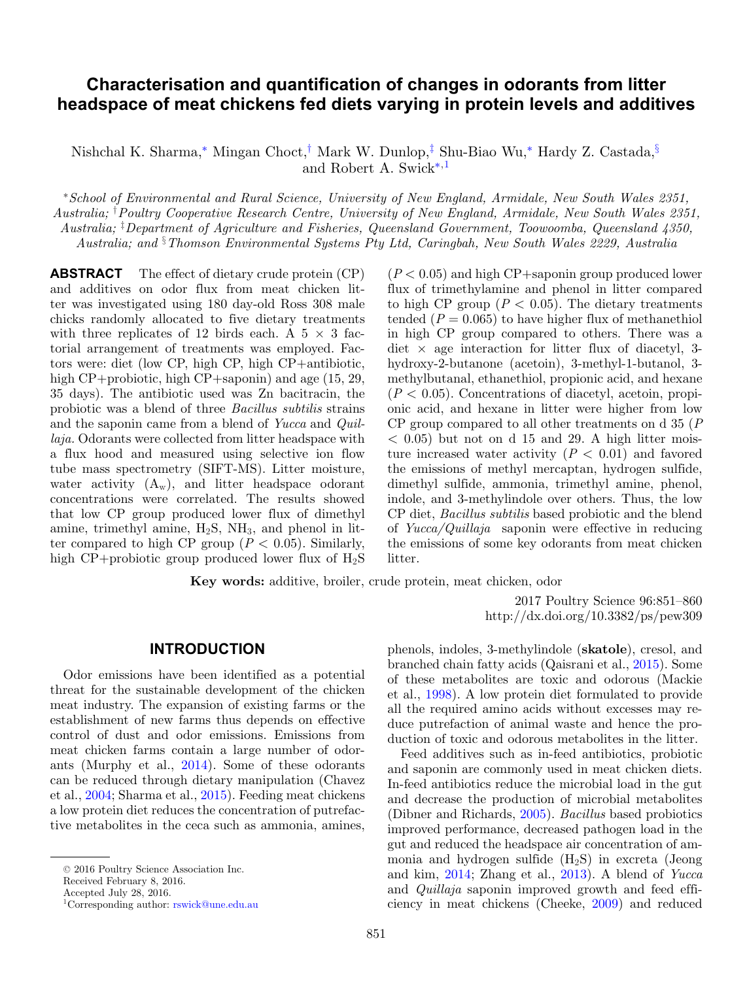# **Characterisation and quantification of changes in odorants from litter headspace of meat chickens fed diets varying in protein levels and additives**

Nishchal K. Sharma,[∗](#page-0-0) Mingan Choct,[†](#page-0-1) Mark W. Dunlop,[‡](#page-0-2) Shu-Biao Wu,[∗](#page-0-0) Hardy Z. Castada,[§](#page-0-3) and Robert A. Swick<sup>\*[,1](#page-0-4)</sup>

<span id="page-0-2"></span><span id="page-0-1"></span><span id="page-0-0"></span><sup>∗</sup>*School of Environmental and Rural Science, University of New England, Armidale, New South Wales 2351, Australia;* † *Poultry Cooperative Research Centre, University of New England, Armidale, New South Wales 2351, Australia;* ‡ *Department of Agriculture and Fisheries, Queensland Government, Toowoomba, Queensland 4350, Australia; and* § *Thomson Environmental Systems Pty Ltd, Caringbah, New South Wales 2229, Australia*

<span id="page-0-3"></span>**ABSTRACT** The effect of dietary crude protein (CP) and additives on odor flux from meat chicken litter was investigated using 180 day-old Ross 308 male chicks randomly allocated to five dietary treatments with three replicates of 12 birds each. A  $5 \times 3$  factorial arrangement of treatments was employed. Factors were: diet (low CP, high CP, high CP+antibiotic, high CP+probiotic, high CP+saponin) and age  $(15, 29, 12)$ 35 days). The antibiotic used was Zn bacitracin, the probiotic was a blend of three *Bacillus subtilis* strains and the saponin came from a blend of *Yucca* and *Quillaja.* Odorants were collected from litter headspace with a flux hood and measured using selective ion flow tube mass spectrometry (SIFT-MS). Litter moisture, water activity  $(A_w)$ , and litter headspace odorant concentrations were correlated. The results showed that low CP group produced lower flux of dimethyl amine, trimethyl amine,  $H_2S$ ,  $NH_3$ , and phenol in litter compared to high CP group  $(P < 0.05)$ . Similarly, high CP+probiotic group produced lower flux of  $H_2S$ 

 $(P < 0.05)$  and high CP+saponin group produced lower flux of trimethylamine and phenol in litter compared to high CP group  $(P < 0.05)$ . The dietary treatments tended  $(P = 0.065)$  to have higher flux of methanethiol in high CP group compared to others. There was a diet  $\times$  age interaction for litter flux of diacetyl, 3hydroxy-2-butanone (acetoin), 3-methyl-1-butanol, 3 methylbutanal, ethanethiol, propionic acid, and hexane  $(P < 0.05)$ . Concentrations of diacetyl, acetoin, propionic acid, and hexane in litter were higher from low CP group compared to all other treatments on d 35 (*P*  $<$  0.05) but not on d 15 and 29. A high litter moisture increased water activity  $(P < 0.01)$  and favored the emissions of methyl mercaptan, hydrogen sulfide, dimethyl sulfide, ammonia, trimethyl amine, phenol, indole, and 3-methylindole over others. Thus, the low CP diet, *Bacillus subtilis* based probiotic and the blend of *Yucca/Quillaja* saponin were effective in reducing the emissions of some key odorants from meat chicken litter.

**Key words:** additive, broiler, crude protein, meat chicken, odor

2017 Poultry Science 96:851–860 http://dx.doi.org/10.3382/ps/pew309

#### **INTRODUCTION**

Odor emissions have been identified as a potential threat for the sustainable development of the chicken meat industry. The expansion of existing farms or the establishment of new farms thus depends on effective control of dust and odor emissions. Emissions from meat chicken farms contain a large number of odorants (Murphy et al., [2014\)](#page-9-0). Some of these odorants can be reduced through dietary manipulation (Chavez et al., [2004;](#page-9-1) Sharma et al., [2015\)](#page-9-2). Feeding meat chickens a low protein diet reduces the concentration of putrefactive metabolites in the ceca such as ammonia, amines,

Received February 8, 2016.

<span id="page-0-4"></span>Accepted July 28, 2016.

phenols, indoles, 3-methylindole (**skatole**), cresol, and branched chain fatty acids (Qaisrani et al., [2015\)](#page-9-3). Some of these metabolites are toxic and odorous (Mackie et al., [1998\)](#page-9-4). A low protein diet formulated to provide all the required amino acids without excesses may reduce putrefaction of animal waste and hence the production of toxic and odorous metabolites in the litter.

Feed additives such as in-feed antibiotics, probiotic and saponin are commonly used in meat chicken diets. In-feed antibiotics reduce the microbial load in the gut and decrease the production of microbial metabolites (Dibner and Richards, [2005\)](#page-9-5). *Bacillus* based probiotics improved performance, decreased pathogen load in the gut and reduced the headspace air concentration of ammonia and hydrogen sulfide  $(H_2S)$  in excreta (Jeong and kim, [2014;](#page-9-6) Zhang et al., [2013\)](#page-9-7). A blend of *Yucca* and *Quillaja* saponin improved growth and feed efficiency in meat chickens (Cheeke, [2009\)](#page-9-8) and reduced

<sup>-</sup><sup>C</sup> 2016 Poultry Science Association Inc.

<sup>1</sup>Corresponding author: [rswick@une.edu.au](mailto:rswick@une.edu.au)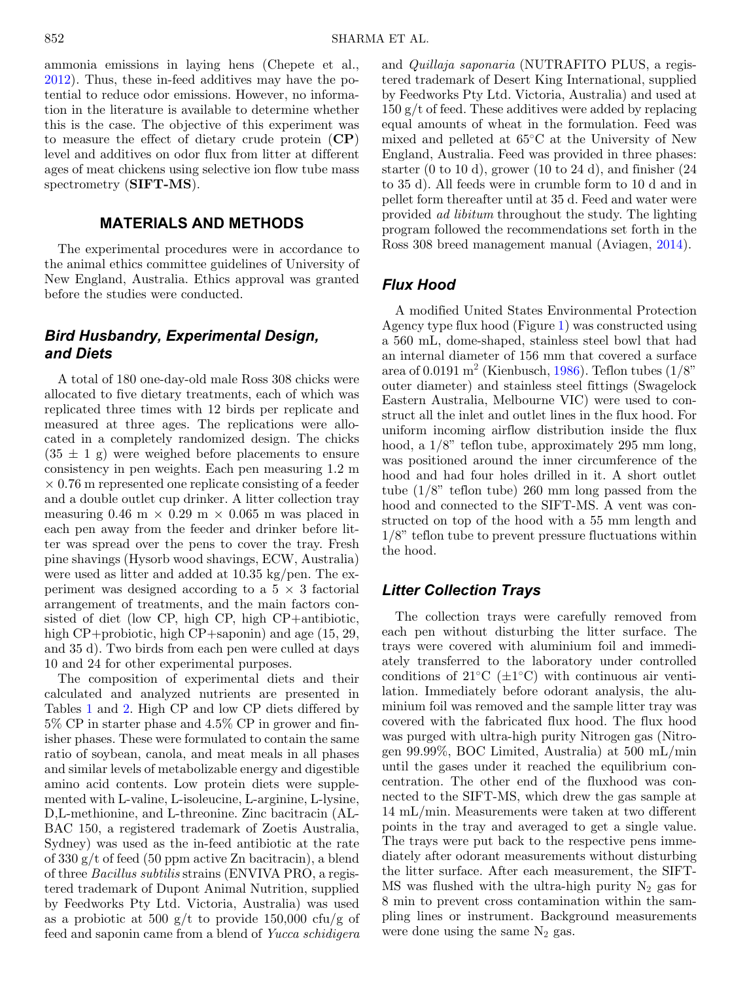ammonia emissions in laying hens (Chepete et al., [2012\)](#page-9-9). Thus, these in-feed additives may have the potential to reduce odor emissions. However, no information in the literature is available to determine whether this is the case. The objective of this experiment was to measure the effect of dietary crude protein (**CP**) level and additives on odor flux from litter at different ages of meat chickens using selective ion flow tube mass spectrometry (**SIFT-MS**).

## **MATERIALS AND METHODS**

The experimental procedures were in accordance to the animal ethics committee guidelines of University of New England, Australia. Ethics approval was granted before the studies were conducted.

# *Bird Husbandry, Experimental Design, and Diets*

A total of 180 one-day-old male Ross 308 chicks were allocated to five dietary treatments, each of which was replicated three times with 12 birds per replicate and measured at three ages. The replications were allocated in a completely randomized design. The chicks  $(35 \pm 1)$  g) were weighed before placements to ensure consistency in pen weights. Each pen measuring 1.2 m × 0.76 m represented one replicate consisting of a feeder and a double outlet cup drinker. A litter collection tray measuring  $0.46 \text{ m} \times 0.29 \text{ m} \times 0.065 \text{ m}$  was placed in each pen away from the feeder and drinker before litter was spread over the pens to cover the tray. Fresh pine shavings (Hysorb wood shavings, ECW, Australia) were used as litter and added at 10.35 kg/pen. The experiment was designed according to a  $5 \times 3$  factorial arrangement of treatments, and the main factors consisted of diet (low CP, high CP, high CP+antibiotic, high CP+probiotic, high CP+saponin) and age (15, 29, and 35 d). Two birds from each pen were culled at days 10 and 24 for other experimental purposes.

The composition of experimental diets and their calculated and analyzed nutrients are presented in Tables [1](#page-2-0) and [2.](#page-3-0) High CP and low CP diets differed by 5% CP in starter phase and 4.5% CP in grower and finisher phases. These were formulated to contain the same ratio of soybean, canola, and meat meals in all phases and similar levels of metabolizable energy and digestible amino acid contents. Low protein diets were supplemented with L-valine, L-isoleucine, L-arginine, L-lysine, D,L-methionine, and L-threonine. Zinc bacitracin (AL-BAC 150, a registered trademark of Zoetis Australia, Sydney) was used as the in-feed antibiotic at the rate of 330 g/t of feed (50 ppm active Zn bacitracin), a blend of three *Bacillus subtilis* strains (ENVIVA PRO, a registered trademark of Dupont Animal Nutrition, supplied by Feedworks Pty Ltd. Victoria, Australia) was used as a probiotic at 500 g/t to provide 150,000 cfu/g of feed and saponin came from a blend of *Yucca schidigera* and *Quillaja saponaria* (NUTRAFITO PLUS, a registered trademark of Desert King International, supplied by Feedworks Pty Ltd. Victoria, Australia) and used at  $150 g/t$  of feed. These additives were added by replacing equal amounts of wheat in the formulation. Feed was mixed and pelleted at 65◦C at the University of New England, Australia. Feed was provided in three phases: starter (0 to 10 d), grower (10 to 24 d), and finisher  $(24$ to 35 d). All feeds were in crumble form to 10 d and in pellet form thereafter until at 35 d. Feed and water were provided *ad libitum* throughout the study. The lighting program followed the recommendations set forth in the Ross 308 breed management manual (Aviagen, [2014\)](#page-9-10).

# *Flux Hood*

A modified United States Environmental Protection Agency type flux hood (Figure [1\)](#page-3-1) was constructed using a 560 mL, dome-shaped, stainless steel bowl that had an internal diameter of 156 mm that covered a surface area of 0.0191 m<sup>2</sup> (Kienbusch, [1986\)](#page-9-11). Teflon tubes  $(1/8)$ " outer diameter) and stainless steel fittings (Swagelock Eastern Australia, Melbourne VIC) were used to construct all the inlet and outlet lines in the flux hood. For uniform incoming airflow distribution inside the flux hood, a 1/8" teflon tube, approximately 295 mm long, was positioned around the inner circumference of the hood and had four holes drilled in it. A short outlet tube (1/8" teflon tube) 260 mm long passed from the hood and connected to the SIFT-MS. A vent was constructed on top of the hood with a 55 mm length and 1/8" teflon tube to prevent pressure fluctuations within the hood.

# *Litter Collection Trays*

The collection trays were carefully removed from each pen without disturbing the litter surface. The trays were covered with aluminium foil and immediately transferred to the laboratory under controlled conditions of 21 $°C$  ( $\pm 1$ °C) with continuous air ventilation. Immediately before odorant analysis, the aluminium foil was removed and the sample litter tray was covered with the fabricated flux hood. The flux hood was purged with ultra-high purity Nitrogen gas (Nitrogen 99.99%, BOC Limited, Australia) at 500 mL/min until the gases under it reached the equilibrium concentration. The other end of the fluxhood was connected to the SIFT-MS, which drew the gas sample at 14 mL/min. Measurements were taken at two different points in the tray and averaged to get a single value. The trays were put back to the respective pens immediately after odorant measurements without disturbing the litter surface. After each measurement, the SIFT-MS was flushed with the ultra-high purity  $N_2$  gas for 8 min to prevent cross contamination within the sampling lines or instrument. Background measurements were done using the same  $N_2$  gas.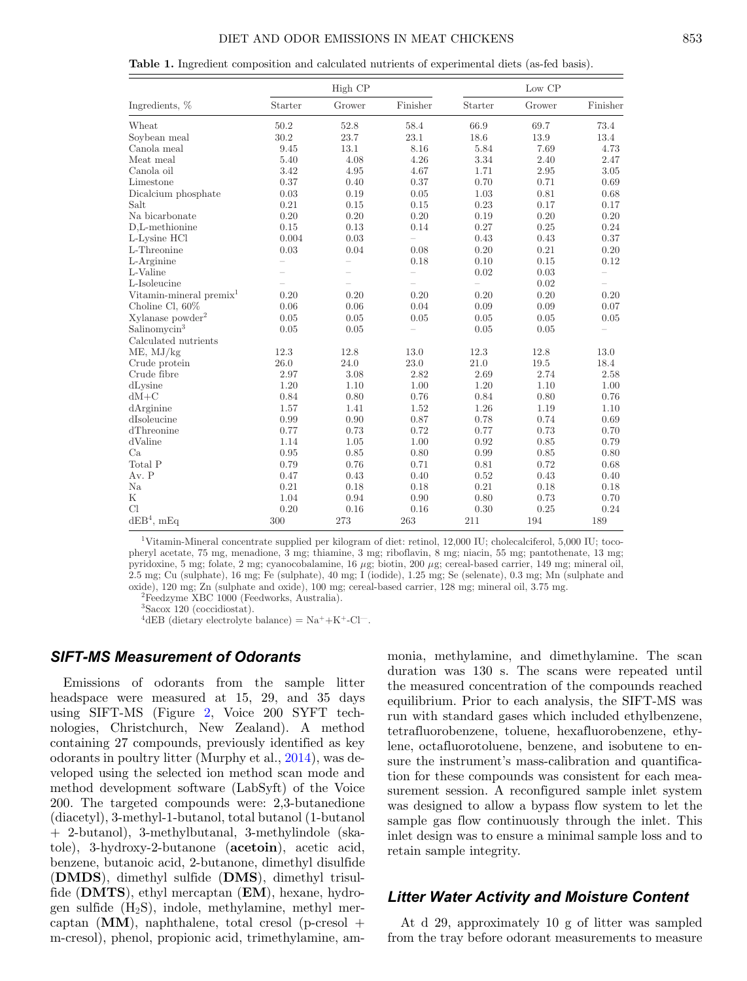#### DIET AND ODOR EMISSIONS IN MEAT CHICKENS 853

<span id="page-2-0"></span>

|                                     |                          | High CP  |                          |                | Low CP |                          |
|-------------------------------------|--------------------------|----------|--------------------------|----------------|--------|--------------------------|
| Ingredients, %                      | Starter                  | Grower   | Finisher                 | Starter        | Grower | Finisher                 |
| Wheat                               | 50.2                     | 52.8     | 58.4                     | 66.9           | 69.7   | 73.4                     |
| Soybean meal                        | 30.2                     | 23.7     | 23.1                     | 18.6           | 13.9   | 13.4                     |
| Canola meal                         | 9.45                     | 13.1     | 8.16                     | 5.84           | 7.69   | 4.73                     |
| Meat meal                           | 5.40                     | 4.08     | 4.26                     | 3.34           | 2.40   | 2.47                     |
| Canola oil                          | 3.42                     | 4.95     | 4.67                     | 1.71           | 2.95   | 3.05                     |
| Limestone                           | 0.37                     | 0.40     | 0.37                     | 0.70           | 0.71   | 0.69                     |
| Dicalcium phosphate                 | 0.03                     | 0.19     | 0.05                     | 1.03           | 0.81   | 0.68                     |
| Salt                                | 0.21                     | 0.15     | 0.15                     | 0.23           | 0.17   | 0.17                     |
| Na bicarbonate                      | 0.20                     | 0.20     | 0.20                     | 0.19           | 0.20   | 0.20                     |
| D.L-methionine                      | 0.15                     | 0.13     | 0.14                     | 0.27           | 0.25   | 0.24                     |
| L-Lysine HCl                        | 0.004                    | 0.03     | $\equiv$                 | 0.43           | 0.43   | 0.37                     |
| L-Threonine                         | 0.03                     | 0.04     | 0.08                     | 0.20           | 0.21   | 0.20                     |
| L-Arginine                          | $\overline{\phantom{0}}$ | $\equiv$ | 0.18                     | 0.10           | 0.15   | 0.12                     |
| L-Valine                            |                          |          | $\overline{\phantom{0}}$ | 0.02           | 0.03   | $\overline{\phantom{0}}$ |
| L-Isoleucine                        |                          |          |                          | $\overline{a}$ | 0.02   | Ľ.                       |
| Vitamin-mineral premix <sup>1</sup> | 0.20                     | 0.20     | 0.20                     | 0.20           | 0.20   | 0.20                     |
| Choline Cl, 60%                     | 0.06                     | 0.06     | 0.04                     | 0.09           | 0.09   | 0.07                     |
| Xylanase powder <sup>2</sup>        | 0.05                     | 0.05     | 0.05                     | $0.05\,$       | 0.05   | $0.05\,$                 |
| Salinomycin <sup>3</sup>            | 0.05                     | 0.05     |                          | 0.05           | 0.05   |                          |
| Calculated nutrients                |                          |          |                          |                |        |                          |
| ME, MJ/kg                           | 12.3                     | 12.8     | 13.0                     | 12.3           | 12.8   | 13.0                     |
| Crude protein                       | 26.0                     | 24.0     | 23.0                     | 21.0           | 19.5   | 18.4                     |
| Crude fibre                         | 2.97                     | 3.08     | 2.82                     | 2.69           | 2.74   | 2.58                     |
| dLysine                             | 1.20                     | 1.10     | 1.00                     | 1.20           | 1.10   | 1.00                     |
| $dM+C$                              | 0.84                     | 0.80     | 0.76                     | 0.84           | 0.80   | 0.76                     |
| dArginine                           | 1.57                     | 1.41     | 1.52                     | 1.26           | 1.19   | 1.10                     |
| dIsoleucine                         | 0.99                     | 0.90     | 0.87                     | 0.78           | 0.74   | 0.69                     |
| dThreonine                          | 0.77                     | 0.73     | 0.72                     | 0.77           | 0.73   | 0.70                     |
| dValine                             | 1.14                     | 1.05     | 1.00                     | 0.92           | 0.85   | 0.79                     |
| Ca                                  | 0.95                     | 0.85     | 0.80                     | 0.99           | 0.85   | 0.80                     |
| Total P                             | 0.79                     | 0.76     | 0.71                     | 0.81           | 0.72   | 0.68                     |
| Av. P                               | 0.47                     | 0.43     | 0.40                     | 0.52           | 0.43   | 0.40                     |
| Na                                  | 0.21                     | 0.18     | 0.18                     | 0.21           | 0.18   | 0.18                     |
| $_{\rm K}$                          | 1.04                     | 0.94     | 0.90                     | 0.80           | 0.73   | 0.70                     |
| Cl                                  | 0.20                     | 0.16     | 0.16                     | 0.30           | 0.25   | 0.24                     |
| $dEB4$ , mEq                        | 300                      | 273      | 263                      | 211            | 194    | 189                      |

1Vitamin-Mineral concentrate supplied per kilogram of diet: retinol, 12,000 IU; cholecalciferol, 5,000 IU; tocopheryl acetate, 75 mg, menadione, 3 mg; thiamine, 3 mg; riboflavin, 8 mg; niacin, 55 mg; pantothenate, 13 mg; pyridoxine, 5 mg; folate, 2 mg; cyanocobalamine, 16 μg; biotin, 200 μg; cereal-based carrier, 149 mg; mineral oil, 2.5 mg; Cu (sulphate), 16 mg; Fe (sulphate), 40 mg; I (iodide), 1.25 mg; Se (selenate), 0.3 mg; Mn (sulphate and oxide), 120 mg; Zn (sulphate and oxide), 100 mg; cereal-based carrier, 128 mg; mineral oil, 3.75 mg. 2Feedzyme XBC 1000 (Feedworks, Australia).

3Sacox 120 (coccidiostat).

<sup>4</sup>dEB (dietary electrolyte balance) =  $Na^+ + K^+ - Cl^-$ .

#### *SIFT-MS Measurement of Odorants*

Emissions of odorants from the sample litter headspace were measured at 15, 29, and 35 days using SIFT-MS (Figure [2,](#page-4-0) Voice 200 SYFT technologies, Christchurch, New Zealand). A method containing 27 compounds, previously identified as key odorants in poultry litter (Murphy et al., [2014\)](#page-9-0), was developed using the selected ion method scan mode and method development software (LabSyft) of the Voice 200. The targeted compounds were: 2,3-butanedione (diacetyl), 3-methyl-1-butanol, total butanol (1-butanol + 2-butanol), 3-methylbutanal, 3-methylindole (skatole), 3-hydroxy-2-butanone (**acetoin**), acetic acid, benzene, butanoic acid, 2-butanone, dimethyl disulfide (**DMDS**), dimethyl sulfide (**DMS**), dimethyl trisulfide (**DMTS**), ethyl mercaptan (**EM**), hexane, hydrogen sulfide  $(H_2S)$ , indole, methylamine, methyl mercaptan  $(MM)$ , naphthalene, total cresol (p-cresol + m-cresol), phenol, propionic acid, trimethylamine, am-

monia, methylamine, and dimethylamine. The scan duration was 130 s. The scans were repeated until the measured concentration of the compounds reached equilibrium. Prior to each analysis, the SIFT-MS was run with standard gases which included ethylbenzene, tetrafluorobenzene, toluene, hexafluorobenzene, ethylene, octafluorotoluene, benzene, and isobutene to ensure the instrument's mass-calibration and quantification for these compounds was consistent for each measurement session. A reconfigured sample inlet system was designed to allow a bypass flow system to let the sample gas flow continuously through the inlet. This inlet design was to ensure a minimal sample loss and to retain sample integrity.

#### *Litter Water Activity and Moisture Content*

At d 29, approximately 10 g of litter was sampled from the tray before odorant measurements to measure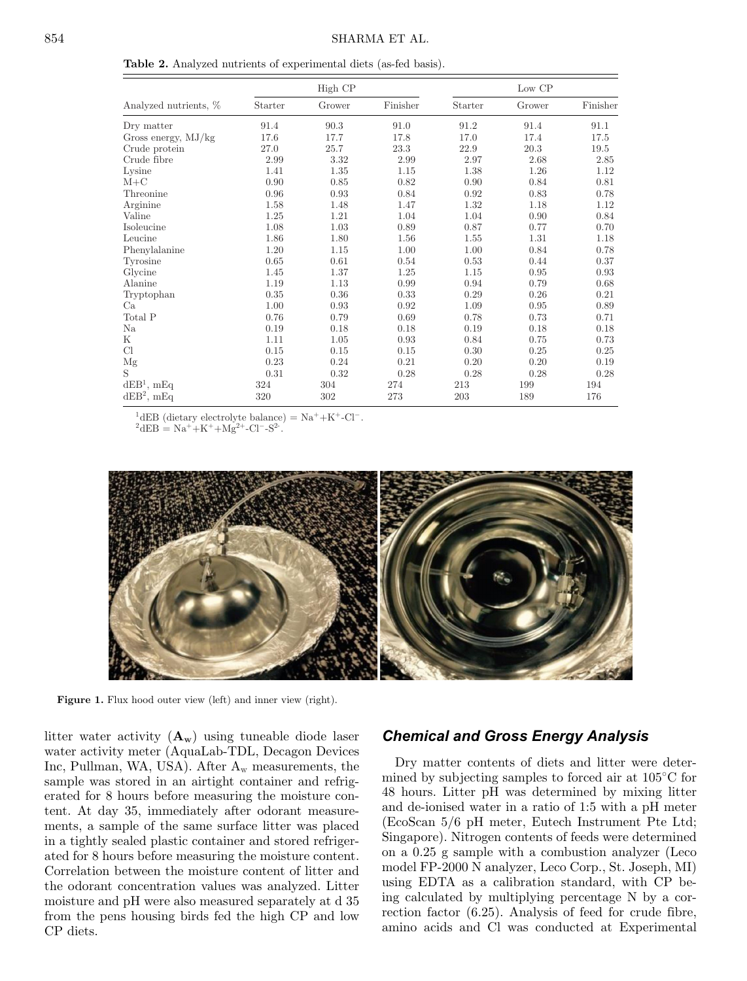<span id="page-3-0"></span>**Table 2.** Analyzed nutrients of experimental diets (as-fed basis).

|                       |         | High CP |          |         | Low CP |          |
|-----------------------|---------|---------|----------|---------|--------|----------|
| Analyzed nutrients, % | Starter | Grower  | Finisher | Starter | Grower | Finisher |
| Dry matter            | 91.4    | 90.3    | 91.0     | 91.2    | 91.4   | 91.1     |
| Gross energy, $MJ/kg$ | 17.6    | 17.7    | 17.8     | 17.0    | 17.4   | 17.5     |
| Crude protein         | 27.0    | 25.7    | 23.3     | 22.9    | 20.3   | 19.5     |
| Crude fibre           | 2.99    | 3.32    | 2.99     | 2.97    | 2.68   | 2.85     |
| Lysine                | 1.41    | 1.35    | 1.15     | 1.38    | 1.26   | 1.12     |
| $M+C$                 | 0.90    | 0.85    | 0.82     | 0.90    | 0.84   | 0.81     |
| Threonine             | 0.96    | 0.93    | 0.84     | 0.92    | 0.83   | 0.78     |
| Arginine              | 1.58    | 1.48    | 1.47     | 1.32    | 1.18   | 1.12     |
| Valine                | 1.25    | 1.21    | 1.04     | 1.04    | 0.90   | 0.84     |
| Isoleucine            | 1.08    | 1.03    | 0.89     | 0.87    | 0.77   | 0.70     |
| Leucine               | 1.86    | 1.80    | 1.56     | 1.55    | 1.31   | 1.18     |
| Phenylalanine         | 1.20    | 1.15    | 1.00     | 1.00    | 0.84   | 0.78     |
| Tyrosine              | 0.65    | 0.61    | 0.54     | 0.53    | 0.44   | 0.37     |
| Glycine               | 1.45    | 1.37    | 1.25     | 1.15    | 0.95   | 0.93     |
| Alanine               | 1.19    | 1.13    | 0.99     | 0.94    | 0.79   | 0.68     |
| Tryptophan            | 0.35    | 0.36    | 0.33     | 0.29    | 0.26   | 0.21     |
| Ca                    | 1.00    | 0.93    | 0.92     | 1.09    | 0.95   | 0.89     |
| Total P               | 0.76    | 0.79    | 0.69     | 0.78    | 0.73   | 0.71     |
| Na                    | 0.19    | 0.18    | 0.18     | 0.19    | 0.18   | 0.18     |
| K                     | 1.11    | 1.05    | 0.93     | 0.84    | 0.75   | 0.73     |
| Cl                    | 0.15    | 0.15    | 0.15     | 0.30    | 0.25   | 0.25     |
| Mg                    | 0.23    | 0.24    | 0.21     | 0.20    | 0.20   | 0.19     |
| S                     | 0.31    | 0.32    | 0.28     | 0.28    | 0.28   | 0.28     |
| $dEB1$ , mEq          | 324     | 304     | 274      | 213     | 199    | 194      |
| $dEB^2$ , mEq         | 320     | 302     | 273      | 203     | 189    | 176      |

<sup>1</sup>dEB (dietary electrolyte balance) = Na<sup>+</sup>+K<sup>+</sup>-Cl<sup>-</sup>.<br><sup>2</sup>dEB = Na<sup>+</sup>+K<sup>+</sup>+Mg<sup>2+</sup>-Cl<sup>-</sup>-S<sup>2</sup>.

<span id="page-3-1"></span>

Figure 1. Flux hood outer view (left) and inner view (right).

litter water activity  $(\mathbf{A}_{\mathbf{w}})$  using tuneable diode laser water activity meter (AquaLab-TDL, Decagon Devices Inc, Pullman, WA, USA). After  $A_w$  measurements, the sample was stored in an airtight container and refrigerated for 8 hours before measuring the moisture content. At day 35, immediately after odorant measurements, a sample of the same surface litter was placed in a tightly sealed plastic container and stored refrigerated for 8 hours before measuring the moisture content. Correlation between the moisture content of litter and the odorant concentration values was analyzed. Litter moisture and pH were also measured separately at d 35 from the pens housing birds fed the high CP and low CP diets.

# *Chemical and Gross Energy Analysis*

Dry matter contents of diets and litter were determined by subjecting samples to forced air at 105◦C for 48 hours. Litter pH was determined by mixing litter and de-ionised water in a ratio of 1:5 with a pH meter (EcoScan 5/6 pH meter, Eutech Instrument Pte Ltd; Singapore). Nitrogen contents of feeds were determined on a 0.25 g sample with a combustion analyzer (Leco model FP-2000 N analyzer, Leco Corp., St. Joseph, MI) using EDTA as a calibration standard, with CP being calculated by multiplying percentage N by a correction factor (6.25). Analysis of feed for crude fibre, amino acids and Cl was conducted at Experimental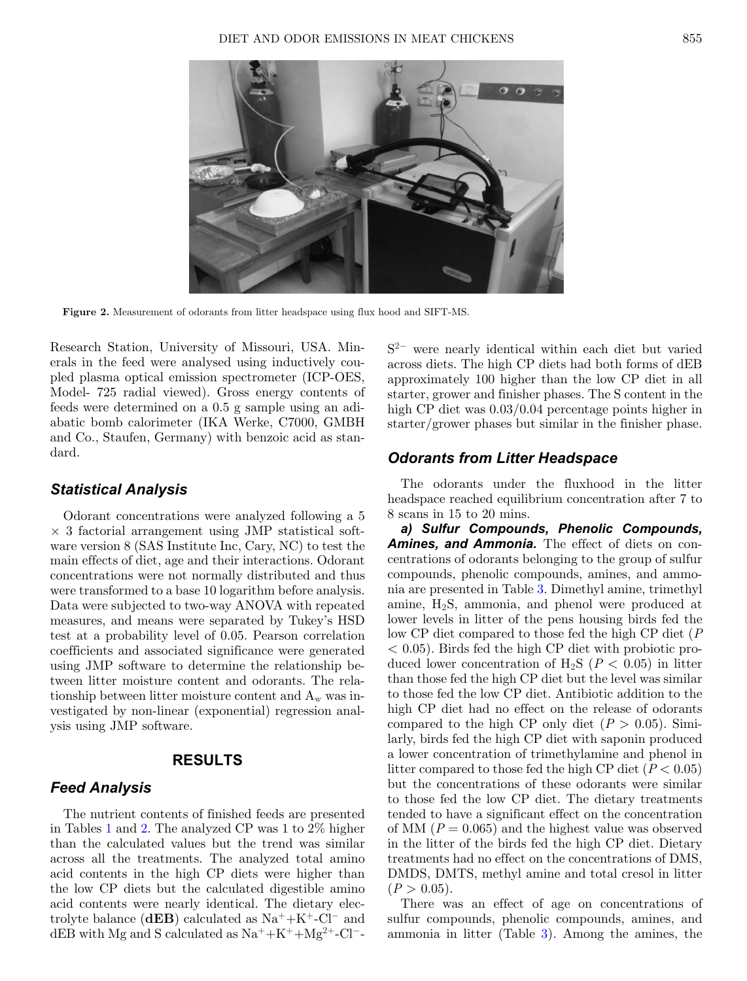<span id="page-4-0"></span>

**Figure 2.** Measurement of odorants from litter headspace using flux hood and SIFT-MS.

Research Station, University of Missouri, USA. Minerals in the feed were analysed using inductively coupled plasma optical emission spectrometer (ICP-OES, Model- 725 radial viewed). Gross energy contents of feeds were determined on a 0.5 g sample using an adiabatic bomb calorimeter (IKA Werke, C7000, GMBH and Co., Staufen, Germany) with benzoic acid as standard.

#### *Statistical Analysis*

Odorant concentrations were analyzed following a 5  $\times$  3 factorial arrangement using JMP statistical software version 8 (SAS Institute Inc, Cary, NC) to test the main effects of diet, age and their interactions. Odorant concentrations were not normally distributed and thus were transformed to a base 10 logarithm before analysis. Data were subjected to two-way ANOVA with repeated measures, and means were separated by Tukey's HSD test at a probability level of 0.05. Pearson correlation coefficients and associated significance were generated using JMP software to determine the relationship between litter moisture content and odorants. The relationship between litter moisture content and  $A_w$  was investigated by non-linear (exponential) regression analysis using JMP software.

# **RESULTS**

#### *Feed Analysis*

The nutrient contents of finished feeds are presented in Tables [1](#page-2-0) and [2.](#page-3-0) The analyzed CP was 1 to 2% higher than the calculated values but the trend was similar across all the treatments. The analyzed total amino acid contents in the high CP diets were higher than the low CP diets but the calculated digestible amino acid contents were nearly identical. The dietary electrolyte balance ( $dEB$ ) calculated as Na<sup>+</sup>+K<sup>+</sup>-Cl<sup>-</sup> and dEB with Mg and S calculated as  $Na^+ + K^+ + Mg^{2+} - Cl^-$ 

S2<sup>−</sup> were nearly identical within each diet but varied across diets. The high CP diets had both forms of dEB approximately 100 higher than the low CP diet in all starter, grower and finisher phases. The S content in the high CP diet was 0.03/0.04 percentage points higher in starter/grower phases but similar in the finisher phase.

### *Odorants from Litter Headspace*

The odorants under the fluxhood in the litter headspace reached equilibrium concentration after 7 to 8 scans in 15 to 20 mins.

*a) Sulfur Compounds, Phenolic Compounds, Amines, and Ammonia.* The effect of diets on concentrations of odorants belonging to the group of sulfur compounds, phenolic compounds, amines, and ammonia are presented in Table [3.](#page-5-0) Dimethyl amine, trimethyl amine, H2S, ammonia, and phenol were produced at lower levels in litter of the pens housing birds fed the low CP diet compared to those fed the high CP diet (*P*  $< 0.05$ ). Birds fed the high CP diet with probiotic produced lower concentration of  $H_2S$  ( $P < 0.05$ ) in litter than those fed the high CP diet but the level was similar to those fed the low CP diet. Antibiotic addition to the high CP diet had no effect on the release of odorants compared to the high CP only diet  $(P > 0.05)$ . Similarly, birds fed the high CP diet with saponin produced a lower concentration of trimethylamine and phenol in litter compared to those fed the high CP diet  $(P < 0.05)$ but the concentrations of these odorants were similar to those fed the low CP diet. The dietary treatments tended to have a significant effect on the concentration of MM  $(P = 0.065)$  and the highest value was observed in the litter of the birds fed the high CP diet. Dietary treatments had no effect on the concentrations of DMS, DMDS, DMTS, methyl amine and total cresol in litter  $(P > 0.05)$ .

There was an effect of age on concentrations of sulfur compounds, phenolic compounds, amines, and ammonia in litter (Table [3\)](#page-5-0). Among the amines, the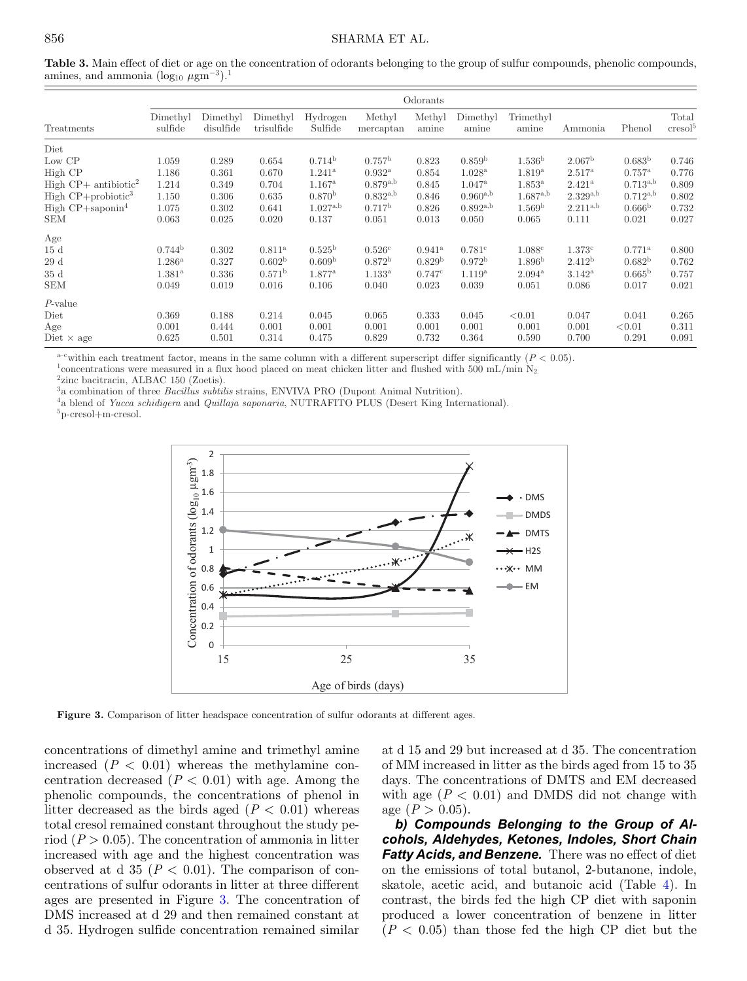<span id="page-5-0"></span>**Table 3.** Main effect of diet or age on the concentration of odorants belonging to the group of sulfur compounds, phenolic compounds, amines, and ammonia  $(\log_{10} \mu \text{gm}^{-3})$ .<sup>1</sup>

|                                           | Odorants            |                       |                        |                     |                     |                    |                    |                    |                    |                    |                              |
|-------------------------------------------|---------------------|-----------------------|------------------------|---------------------|---------------------|--------------------|--------------------|--------------------|--------------------|--------------------|------------------------------|
| Treatments                                | Dimethyl<br>sulfide | Dimethyl<br>disulfide | Dimethyl<br>trisulfide | Hydrogen<br>Sulfide | Methyl<br>mercaptan | Methyl<br>amine    | Dimethyl<br>amine  | Trimethyl<br>amine | Ammonia            | Phenol             | Total<br>cresol <sup>5</sup> |
| Diet                                      |                     |                       |                        |                     |                     |                    |                    |                    |                    |                    |                              |
| Low CP                                    | 1.059               | 0.289                 | 0.654                  | 0.714 <sup>b</sup>  | $0.757^{\rm b}$     | 0.823              | 0.859 <sup>b</sup> | 1.536 <sup>b</sup> | 2.067 <sup>b</sup> | 0.683 <sup>b</sup> | 0.746                        |
| High CP                                   | 1.186               | 0.361                 | 0.670                  | $1.241^{\rm a}$     | $0.932^{\rm a}$     | 0.854              | 1.028 <sup>a</sup> | 1.819 <sup>a</sup> | $2.517^{\rm a}$    | $0.757^{\rm a}$    | 0.776                        |
| High $\text{CP}+$ antibiotic <sup>2</sup> | 1.214               | 0.349                 | 0.704                  | $1.167^{\rm a}$     | $0.879^{a,b}$       | 0.845              | $1.047^{\rm a}$    | $1.853^{\rm a}$    | $2.421^{\rm a}$    | $0.713^{a,b}$      | 0.809                        |
| High $CP +$ probiotic <sup>3</sup>        | 1.150               | 0.306                 | 0.635                  | 0.870 <sup>b</sup>  | $0.832^{a,b}$       | 0.846              | $0.960^{a,b}$      | $1.687^{\rm a,b}$  | $2.329^{a,b}$      | $0.712^{a,b}$      | 0.802                        |
| High $CP +$ saponin <sup>4</sup>          | 1.075               | 0.302                 | 0.641                  | $1.027^{a,b}$       | 0.717 <sup>b</sup>  | 0.826              | $0.892^{a,b}$      | 1.569 <sup>b</sup> | $2.211^{a,b}$      | 0.666 <sup>b</sup> | 0.732                        |
| <b>SEM</b>                                | 0.063               | 0.025                 | 0.020                  | 0.137               | 0.051               | 0.013              | 0.050              | 0.065              | 0.111              | 0.021              | 0.027                        |
| Age                                       |                     |                       |                        |                     |                     |                    |                    |                    |                    |                    |                              |
| 15d                                       | 0.744 <sup>b</sup>  | 0.302                 | $0.811^{\rm a}$        | $0.525^{\rm b}$     | 0.526c              | $0.941^{\rm a}$    | 0.781c             | 1.088c             | 1.373c             | $0.771^{\rm a}$    | 0.800                        |
| 29d                                       | $1.286^{\rm a}$     | 0.327                 | 0.602 <sup>b</sup>     | 0.609 <sup>b</sup>  | $0.872^{\rm b}$     | 0.829 <sup>b</sup> | $0.972^b$          | 1.896 <sup>b</sup> | 2.412 <sup>b</sup> | $0.682^{b}$        | 0.762                        |
| 35d                                       | $1.381^{\rm a}$     | 0.336                 | 0.571 <sup>b</sup>     | $1.877^{\rm a}$     | $1.133^{a}$         | 0.747c             | $1.119^{a}$        | $2.094^{\rm a}$    | $3.142^{\rm a}$    | $0.665^{\rm b}$    | 0.757                        |
| <b>SEM</b>                                | 0.049               | 0.019                 | 0.016                  | 0.106               | 0.040               | 0.023              | 0.039              | 0.051              | 0.086              | 0.017              | 0.021                        |
| $P$ -value                                |                     |                       |                        |                     |                     |                    |                    |                    |                    |                    |                              |
| Diet                                      | 0.369               | 0.188                 | 0.214                  | 0.045               | 0.065               | 0.333              | 0.045              | < 0.01             | 0.047              | 0.041              | 0.265                        |
| Age                                       | 0.001               | 0.444                 | 0.001                  | 0.001               | 0.001               | 0.001              | 0.001              | 0.001              | 0.001              | < 0.01             | 0.311                        |
| Diet $\times$ age                         | 0.625               | 0.501                 | 0.314                  | 0.475               | 0.829               | 0.732              | 0.364              | 0.590              | 0.700              | 0.291              | 0.091                        |

<sup>a-c</sup>within each treatment factor, means in the same column with a different superscript differ significantly ( $P < 0.05$ ).<br><sup>1</sup> concentrations were measured in a flux hood placed on meat chicken litter and flushed with 500

<sup>4</sup>a blend of *Yucca schidigera* and *Quillaja saponaria*, NUTRAFITO PLUS (Desert King International).<sup>5</sup> p-cresol+m-cresol.

<span id="page-5-1"></span>



**Figure 3.** Comparison of litter headspace concentration of sulfur odorants at different ages.

concentrations of dimethyl amine and trimethyl amine increased  $(P < 0.01)$  whereas the methylamine concentration decreased  $(P < 0.01)$  with age. Among the phenolic compounds, the concentrations of phenol in litter decreased as the birds aged  $(P < 0.01)$  whereas total cresol remained constant throughout the study period  $(P > 0.05)$ . The concentration of ammonia in litter increased with age and the highest concentration was observed at d  $35$  ( $P < 0.01$ ). The comparison of concentrations of sulfur odorants in litter at three different ages are presented in Figure [3.](#page-5-1) The concentration of DMS increased at d 29 and then remained constant at d 35. Hydrogen sulfide concentration remained similar at d 15 and 29 but increased at d 35. The concentration of MM increased in litter as the birds aged from 15 to 35 days. The concentrations of DMTS and EM decreased with age  $(P < 0.01)$  and DMDS did not change with age  $(P > 0.05)$ .

*b) Compounds Belonging to the Group of Alcohols, Aldehydes, Ketones, Indoles, Short Chain Fatty Acids, and Benzene.* There was no effect of diet on the emissions of total butanol, 2-butanone, indole, skatole, acetic acid, and butanoic acid (Table [4\)](#page-6-0). In contrast, the birds fed the high CP diet with saponin produced a lower concentration of benzene in litter  $(P < 0.05)$  than those fed the high CP diet but the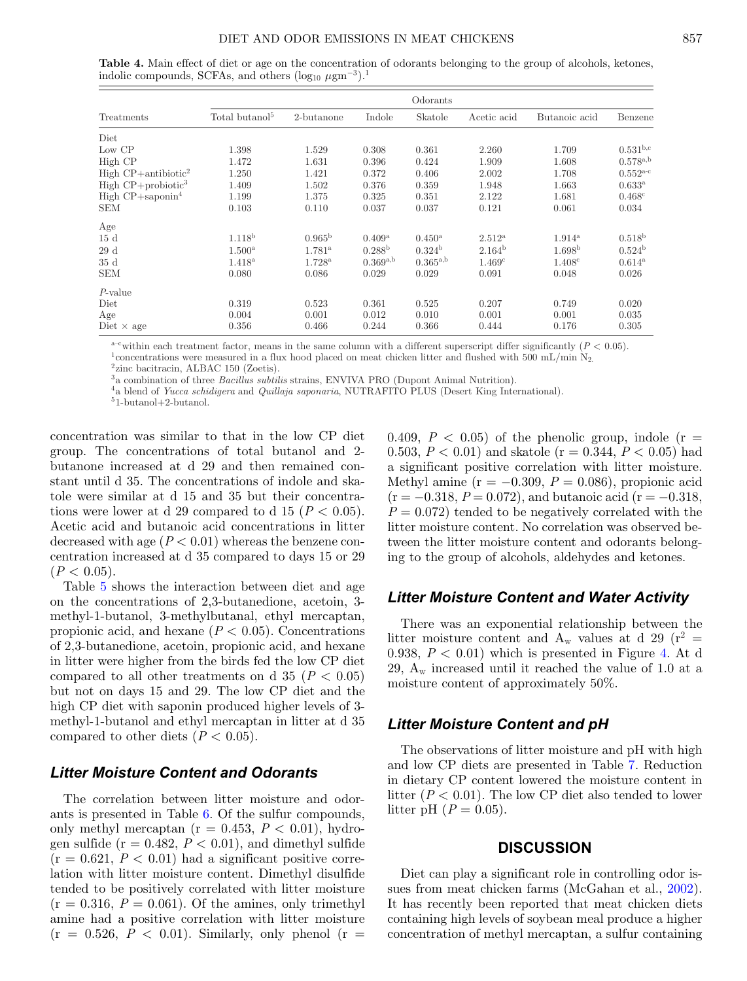<span id="page-6-0"></span>**Table 4.** Main effect of diet or age on the concentration of odorants belonging to the group of alcohols, ketones, indolic compounds, SCFAs, and others  $(\log_{10} \mu \text{gm}^{-3})$ .<sup>1</sup>

|                                    |                            |                 |                    | Odorants           |                    |                    |                 |
|------------------------------------|----------------------------|-----------------|--------------------|--------------------|--------------------|--------------------|-----------------|
| Treatments                         | Total butanol <sup>5</sup> | $2$ -butanone   | Indole             | Skatole            | Acetic acid        | Butanoic acid      | Benzene         |
| Diet                               |                            |                 |                    |                    |                    |                    |                 |
| Low CP                             | 1.398                      | 1.529           | 0.308              | 0.361              | 2.260              | 1.709              | $0.531^{b,c}$   |
| High CP                            | 1.472                      | 1.631           | 0.396              | 0.424              | 1.909              | 1.608              | $0.578^{a,b}$   |
| High $CP+$ antibiotic <sup>2</sup> | 1.250                      | 1.421           | 0.372              | 0.406              | 2.002              | 1.708              | $0.552^{a-c}$   |
| High $CP +$ probiotic <sup>3</sup> | 1.409                      | 1.502           | 0.376              | 0.359              | 1.948              | 1.663              | $0.633^{\rm a}$ |
| High $CP +$ saponin <sup>4</sup>   | 1.199                      | 1.375           | 0.325              | 0.351              | 2.122              | 1.681              | $0.468^{\circ}$ |
| <b>SEM</b>                         | 0.103                      | 0.110           | 0.037              | 0.037              | 0.121              | 0.061              | 0.034           |
| Age                                |                            |                 |                    |                    |                    |                    |                 |
| 15d                                | 1.118 <sup>b</sup>         | $0.965^{\rm b}$ | $0.409^{\rm a}$    | $0.450^{\rm a}$    | $2.512^{\rm a}$    | $1.914^{\rm a}$    | $0.518^{\rm b}$ |
| 29d                                | $1.500^{\rm a}$            | $1.781^{\rm a}$ | 0.288 <sup>b</sup> | 0.324 <sup>b</sup> | 2.164 <sup>b</sup> | 1.698 <sup>b</sup> | $0.524^{\rm b}$ |
| 35d                                | $1.418^{\rm a}$            | $1.728^{\rm a}$ | $0.369^{a,b}$      | $0.365^{a,b}$      | 1.469c             | 1.408c             | $0.614^{\rm a}$ |
| <b>SEM</b>                         | 0.080                      | 0.086           | 0.029              | 0.029              | 0.091              | 0.048              | 0.026           |
| $P$ -value                         |                            |                 |                    |                    |                    |                    |                 |
| Diet                               | 0.319                      | 0.523           | 0.361              | 0.525              | 0.207              | 0.749              | 0.020           |
| Age                                | 0.004                      | 0.001           | 0.012              | 0.010              | 0.001              | 0.001              | 0.035           |
| Diet $\times$ age                  | 0.356                      | 0.466           | 0.244              | 0.366              | 0.444              | 0.176              | 0.305           |

<sup>a-c</sup>within each treatment factor, means in the same column with a different superscript differ significantly ( $P < 0.05$ ).<br><sup>1</sup> concentrations were measured in a flux hood placed on meat chicken litter and flushed with 500

 $^4$ a blend of *Yucca schidigera* and *Quillaja saponaria*, NUTRAFITO PLUS (Desert King International).  $^{5}$ 1-butanol+2-butanol.

concentration was similar to that in the low CP diet group. The concentrations of total butanol and 2 butanone increased at d 29 and then remained constant until d 35. The concentrations of indole and skatole were similar at d 15 and 35 but their concentrations were lower at d 29 compared to d 15  $(P < 0.05)$ . Acetic acid and butanoic acid concentrations in litter decreased with age  $(P < 0.01)$  whereas the benzene concentration increased at d 35 compared to days 15 or 29  $(P < 0.05)$ .

Table [5](#page-7-0) shows the interaction between diet and age on the concentrations of 2,3-butanedione, acetoin, 3 methyl-1-butanol, 3-methylbutanal, ethyl mercaptan, propionic acid, and hexane  $(P < 0.05)$ . Concentrations of 2,3-butanedione, acetoin, propionic acid, and hexane in litter were higher from the birds fed the low CP diet compared to all other treatments on d  $35$  ( $P < 0.05$ ) but not on days 15 and 29. The low CP diet and the high CP diet with saponin produced higher levels of 3 methyl-1-butanol and ethyl mercaptan in litter at d 35 compared to other diets  $(P < 0.05)$ .

# *Litter Moisture Content and Odorants*

The correlation between litter moisture and odorants is presented in Table [6.](#page-8-0) Of the sulfur compounds, only methyl mercaptan ( $r = 0.453$ ,  $P < 0.01$ ), hydrogen sulfide ( $r = 0.482$ ,  $P < 0.01$ ), and dimethyl sulfide  $(r = 0.621, P < 0.01)$  had a significant positive correlation with litter moisture content. Dimethyl disulfide tended to be positively correlated with litter moisture  $(r = 0.316, P = 0.061)$ . Of the amines, only trimethyl amine had a positive correlation with litter moisture  $(r = 0.526, P < 0.01)$ . Similarly, only phenol  $(r =$ 

0.409,  $P < 0.05$ ) of the phenolic group, indole ( $r =$ 0.503,  $P < 0.01$ ) and skatole (r = 0.344,  $P < 0.05$ ) had a significant positive correlation with litter moisture. Methyl amine  $(r = -0.309, P = 0.086)$ , propionic acid  $(r = -0.318, P = 0.072)$ , and butanoic acid  $(r = -0.318, P = 0.072)$  $P = 0.072$  tended to be negatively correlated with the litter moisture content. No correlation was observed between the litter moisture content and odorants belonging to the group of alcohols, aldehydes and ketones.

# *Litter Moisture Content and Water Activity*

There was an exponential relationship between the litter moisture content and  $A_w$  values at d 29 ( $r^2 =$ 0.938,  $P < 0.01$ ) which is presented in Figure [4.](#page-8-1) At d 29,  $A_w$  increased until it reached the value of 1.0 at a moisture content of approximately 50%.

# *Litter Moisture Content and pH*

The observations of litter moisture and pH with high and low CP diets are presented in Table [7.](#page-8-2) Reduction in dietary CP content lowered the moisture content in litter  $(P < 0.01)$ . The low CP diet also tended to lower litter pH  $(P = 0.05)$ .

#### **DISCUSSION**

Diet can play a significant role in controlling odor issues from meat chicken farms (McGahan et al., [2002\)](#page-9-12). It has recently been reported that meat chicken diets containing high levels of soybean meal produce a higher concentration of methyl mercaptan, a sulfur containing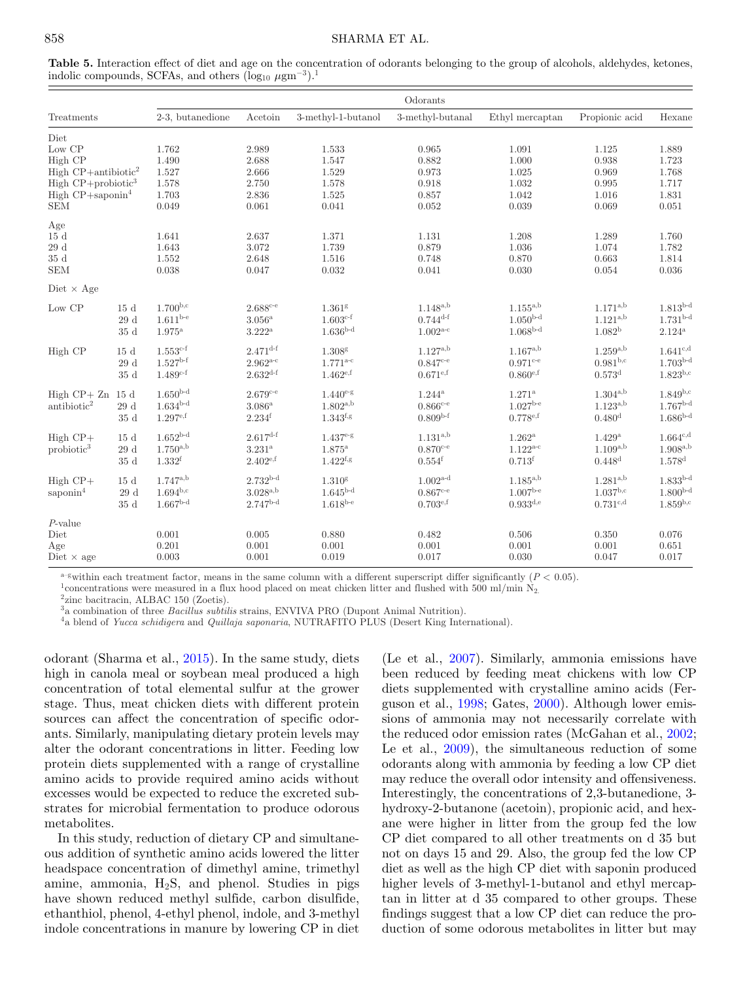#### 858 SHARMA ET AL.

<span id="page-7-0"></span>

| Table 5. Interaction effect of diet and age on the concentration of odorants belonging to the group of alcohols, aldehydes, ketones, |  |  |  |
|--------------------------------------------------------------------------------------------------------------------------------------|--|--|--|
| indolic compounds, SCFAs, and others $(\log_{10} \mu \text{gm}^{-3})$ . <sup>1</sup>                                                 |  |  |  |

|                                                                                                                                                         |                                |                                                    |                                                        |                                                      | Odorants                                                          |                                                          |                                                          |                                                    |
|---------------------------------------------------------------------------------------------------------------------------------------------------------|--------------------------------|----------------------------------------------------|--------------------------------------------------------|------------------------------------------------------|-------------------------------------------------------------------|----------------------------------------------------------|----------------------------------------------------------|----------------------------------------------------|
| Treatments                                                                                                                                              |                                | 2-3, butanedione                                   | Acetoin                                                | 3-methyl-1-butanol                                   | 3-methyl-butanal                                                  | Ethyl mercaptan                                          | Propionic acid                                           | Hexane                                             |
| Diet<br>Low CP<br>High CP<br>High $CP+$ antibiotic <sup>2</sup><br>High $CP +$ probiotic <sup>3</sup><br>High $CP +$ saponin <sup>4</sup><br><b>SEM</b> |                                | 1.762<br>1.490<br>1.527<br>1.578<br>1.703<br>0.049 | 2.989<br>2.688<br>2.666<br>2.750<br>2.836<br>0.061     | 1.533<br>1.547<br>1.529<br>1.578<br>1.525<br>0.041   | 0.965<br>0.882<br>0.973<br>0.918<br>0.857<br>0.052                | 1.091<br>1.000<br>1.025<br>1.032<br>1.042<br>0.039       | 1.125<br>0.938<br>0.969<br>0.995<br>1.016<br>0.069       | 1.889<br>1.723<br>1.768<br>1.717<br>1.831<br>0.051 |
| Age<br>15d<br>29d<br>35d<br><b>SEM</b>                                                                                                                  |                                | 1.641<br>1.643<br>1.552<br>0.038                   | 2.637<br>3.072<br>2.648<br>0.047                       | 1.371<br>1.739<br>1.516<br>0.032                     | 1.131<br>0.879<br>0.748<br>0.041                                  | 1.208<br>1.036<br>0.870<br>0.030                         | 1.289<br>1.074<br>0.663<br>0.054                         | 1.760<br>1.782<br>1.814<br>0.036                   |
| Diet $\times$ Age                                                                                                                                       |                                |                                                    |                                                        |                                                      |                                                                   |                                                          |                                                          |                                                    |
| Low CP                                                                                                                                                  | 15d<br>29d<br>35d              | $1.700^{b,c}$<br>$1.611^{b-e}$<br>$1.975^{\rm a}$  | $2.688c-e}$<br>$3.056^{\rm a}$<br>$3.222$ <sup>a</sup> | 1.361 <sup>g</sup><br>$1.603^{c-f}$<br>$1.636b-d$    | $1.148^{a,b}$<br>$0.744^{\text{d-f}}$<br>$1.002^{\text{a-c}}$     | $1.155^{a,b}$<br>$1.050b-d$<br>$1.068b-d$                | $1.171^{a,b}$<br>$1.121^{a,b}$<br>1.082 <sup>b</sup>     | $1.813b-d$<br>$1.731b-d$<br>$2.124$ <sup>a</sup>   |
| High CP                                                                                                                                                 | 15d<br>29d<br>35d              | $1.553^{c-f}$<br>$1.527^{b-f}$<br>$1.489^{c-f}$    | $2.471^{d-f}$<br>$2.962^{a-c}$<br>$2.632^{d-f}$        | 1.308 <sup>g</sup><br>$1.771^{a-c}$<br>$1.462^{e,f}$ | $1.127^{a,b}$<br>$0.847c$ <sup>-e</sup><br>$0.671^{\mathrm{e,f}}$ | $1.167^{a,b}$<br>$0.971c-e$<br>$0.860^{e,f}$             | $1.259^{a,b}$<br>$0.981^{b,c}$<br>$0.573$ <sup>d</sup>   | $1.641^{c,d}$<br>$1.703b-d$<br>$1.823^{b,c}$       |
| $High CP+ Zn$<br>antibiotic <sup>2</sup>                                                                                                                | 15d<br>$29\ \mathrm{d}$<br>35d | $1.650b-d$<br>$1.634b-d$<br>$1.297^{e,f}$          | $2.679c-e$<br>$3.086^{\rm a}$<br>2.234 <sup>f</sup>    | $1.440^{e-g}$<br>$1.802^{a,b}$<br>$1.343^{f,g}$      | $1.244^{\rm a}$<br>$0.866c - e$<br>$0.809b-f$                     | $1.271^{\rm a}$<br>$1.027^{\text{b-e}}$<br>$0.778^{e,f}$ | $1.304^{a,b}$<br>$1.123^{a,b}$<br>0.480 <sup>d</sup>     | $1.849^{b,c}$<br>$1.767b-d$<br>$1.686b-d$          |
| $High CP+$<br>probiotic <sup>3</sup>                                                                                                                    | 15d<br>$29\ \mathrm{d}$<br>35d | $1.652b-d$<br>$1.750^{a,b}$<br>1.332 <sup>f</sup>  | $2.617$ d-f<br>$3.231^{a}$<br>$2.402^{e,f}$            | $1.437e-g$<br>$1.875$ <sup>a</sup><br>$1.422^{f,g}$  | $1.131^{a,b}$<br>$0.870^{c-e}$<br>$0.554$ <sup>f</sup>            | $1.262^{\rm a}$<br>$1.122^{a-c}$<br>0.713 <sup>f</sup>   | $1.429^{\rm a}$<br>$1.109^{a,b}$<br>$0.448$ <sup>d</sup> | $1.664^{c,d}$<br>$1.908^{a,b}$<br>$1.578 ^{\rm d}$ |
| $High CP+$<br>saponin <sup>4</sup>                                                                                                                      | 15d<br>29d<br>$35\ \mathrm{d}$ | $1.747^{a,b}$<br>$1.694^{b,c}$<br>$1.667b-d$       | $2.732b-d$<br>$3.028^{a,b}$<br>$2.747b-d$              | 1.310 <sup>g</sup><br>$1.645b-d$<br>$1.618^{b-e}$    | $1.002^{\text{a-d}}$<br>$0.867c-e$<br>$0.703^{e,f}$               | $1.185^{a,b}$<br>$1.007b-e$<br>$0.933^{d,e}$             | $1.281^{a,b}$<br>$1.037^{b,c}$<br>$0.731^{\text{c,d}}$   | $1.833^{b-d}$<br>$1.800b-d$<br>$1.859^{b,c}$       |
| $P$ -value<br>Diet<br>Age<br>Diet $\times$ age                                                                                                          |                                | 0.001<br>0.201<br>0.003                            | 0.005<br>0.001<br>0.001                                | 0.880<br>0.001<br>0.019                              | 0.482<br>0.001<br>0.017                                           | 0.506<br>0.001<br>0.030                                  | 0.350<br>0.001<br>0.047                                  | 0.076<br>0.651<br>0.017                            |

<sup>a-g</sup>within each treatment factor, means in the same column with a different superscript differ significantly ( $P < 0.05$ ).<br><sup>1</sup> concentrations were measured in a flux hood placed on meat chicken litter and flushed with 500

<sup>4</sup>a blend of *Yucca schidigera* and *Quillaja saponaria*, NUTRAFITO PLUS (Desert King International).

odorant (Sharma et al., [2015\)](#page-9-2). In the same study, diets high in canola meal or soybean meal produced a high concentration of total elemental sulfur at the grower stage. Thus, meat chicken diets with different protein sources can affect the concentration of specific odorants. Similarly, manipulating dietary protein levels may alter the odorant concentrations in litter. Feeding low protein diets supplemented with a range of crystalline amino acids to provide required amino acids without excesses would be expected to reduce the excreted substrates for microbial fermentation to produce odorous metabolites.

In this study, reduction of dietary CP and simultaneous addition of synthetic amino acids lowered the litter headspace concentration of dimethyl amine, trimethyl amine, ammonia,  $H_2S$ , and phenol. Studies in pigs have shown reduced methyl sulfide, carbon disulfide, ethanthiol, phenol, 4-ethyl phenol, indole, and 3-methyl indole concentrations in manure by lowering CP in diet

(Le et al., [2007\)](#page-9-13). Similarly, ammonia emissions have been reduced by feeding meat chickens with low CP diets supplemented with crystalline amino acids (Ferguson et al., [1998;](#page-9-14) Gates, [2000\)](#page-9-15). Although lower emissions of ammonia may not necessarily correlate with the reduced odor emission rates (McGahan et al., [2002;](#page-9-12) Le et al., [2009\)](#page-9-16), the simultaneous reduction of some odorants along with ammonia by feeding a low CP diet may reduce the overall odor intensity and offensiveness. Interestingly, the concentrations of 2,3-butanedione, 3 hydroxy-2-butanone (acetoin), propionic acid, and hexane were higher in litter from the group fed the low CP diet compared to all other treatments on d 35 but not on days 15 and 29. Also, the group fed the low CP diet as well as the high C[P](#page-8-0) diet with saponin produced higher levels of 3-methyl-1-butanol and ethyl mercaptan in litter at d 35 compared to other groups. These findings suggest that a low CP diet can reduce the production of some odorous metabolites in litter but may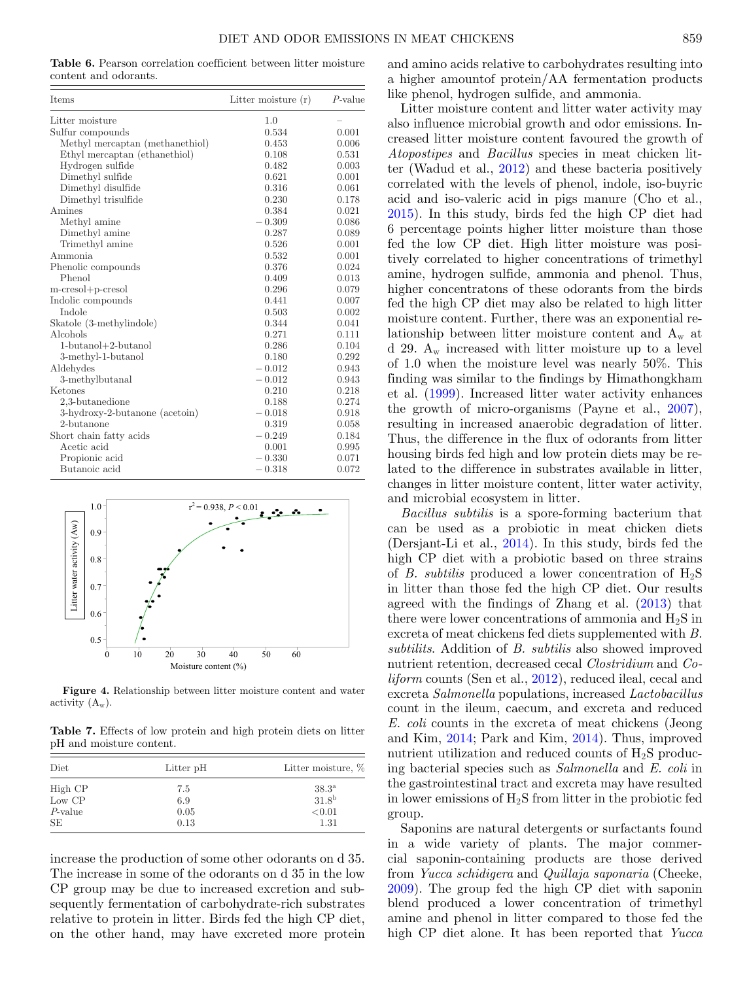<span id="page-8-0"></span>**Table 6.** Pearson correlation coefficient between litter moisture content and odorants.

| <b>Items</b>                    | Litter moisture $(r)$ | $P$ -value |
|---------------------------------|-----------------------|------------|
| Litter moisture                 | 1.0                   |            |
| Sulfur compounds                | 0.534                 | 0.001      |
| Methyl mercaptan (methanethiol) | 0.453                 | 0.006      |
| Ethyl mercaptan (ethanethiol)   | 0.108                 | 0.531      |
| Hydrogen sulfide                | 0.482                 | 0.003      |
| Dimethyl sulfide                | 0.621                 | 0.001      |
| Dimethyl disulfide              | 0.316                 | 0.061      |
| Dimethyl trisulfide             | 0.230                 | 0.178      |
| Amines                          | 0.384                 | 0.021      |
| Methyl amine                    | $-0.309$              | 0.086      |
| Dimethyl amine                  | 0.287                 | 0.089      |
| Trimethyl amine                 | 0.526                 | 0.001      |
| Ammonia                         | 0.532                 | 0.001      |
| Phenolic compounds              | 0.376                 | 0.024      |
| Phenol                          | 0.409                 | 0.013      |
| m-cresol+p-cresol               | 0.296                 | 0.079      |
| Indolic compounds               | 0.441                 | 0.007      |
| Indole                          | 0.503                 | 0.002      |
| Skatole (3-methylindole)        | 0.344                 | 0.041      |
| Alcohols                        | 0.271                 | 0.111      |
| $1$ -butanol $+2$ -butanol      | 0.286                 | 0.104      |
| 3-methyl-1-butanol              | 0.180                 | 0.292      |
| Aldehydes                       | $-0.012$              | 0.943      |
| 3-methylbutanal                 | $-0.012$              | 0.943      |
| Ketones                         | 0.210                 | 0.218      |
| 2,3-butanedione                 | 0.188                 | 0.274      |
| 3-hydroxy-2-butanone (acetoin)  | $-0.018$              | 0.918      |
| 2-butanone                      | 0.319                 | 0.058      |
| Short chain fatty acids         | $-0.249$              | 0.184      |
| Acetic acid                     | 0.001                 | 0.995      |
| Propionic acid                  | $-0.330$              | 0.071      |
| Butanoic acid                   | $-0.318$              | 0.072      |

<span id="page-8-1"></span>

**Figure 4.** Relationship between litter moisture content and water activity  $(A_w)$ .

<span id="page-8-2"></span>**Table 7.** Effects of low protein and high protein diets on litter pH and moisture content.

| Diet       | Litter pH | Litter moisture, %  |
|------------|-----------|---------------------|
| High CP    | 7.5       | $38.3^{\mathrm{a}}$ |
| Low CP     | 6.9       | 31.8 <sup>b</sup>   |
| $P$ -value | 0.05      | < 0.01              |
| SE         | 0.13      | 1.31                |

increase the production of some other odorants on d 35. The increase in some of the odorants on d 35 in the low CP group may be due to increased excretion and subsequently fermentation of carbohydrate-rich substrates relative to protein in litter. Birds fed the high CP diet, on the other hand, may have excreted more protein

and amino acids relative to carbohydrates resulting into a higher amountof protein/AA fermentation products like phenol, hydrogen sulfide, and ammonia.

Litter moisture content and litter water activity may also influence microbial growth and odor emissions. Increased litter moisture content favoured the growth of *Atopostipes* and *Bacillus* species in meat chicken litter (Wadud et al., [2012\)](#page-9-17) and these bacteria positively correlated with the levels of phenol, indole, iso-buyric acid and iso-valeric acid in pigs manure (Cho et al., [2015\)](#page-9-18). In this study, birds fed the high CP diet had 6 percentage points higher litter moisture than those fed the low CP diet. High litter moisture was positively correlated to higher concentrations of trimethyl amine, hydrogen sulfide, ammonia and phenol. Thus, higher concentratons of these odorants from the birds fed the high CP diet may also be related to high litter moisture content. Further, there was an exponential relationship between litter moisture content and  $A_w$  at d 29.  $A_w$  increased with litter moisture up to a level of 1.0 when the moisture level was nearly 50%. This finding was similar to the findings by Himathongkham et al. [\(1999\)](#page-9-19). Increased litter water activity enhances the growth of micro-organisms (Payne et al., [2007\)](#page-9-20), resulting in increased anaerobic degradation of litter. Thus, the difference in the flux of odorants from litter housing birds fed high and low protein diets may be related to the difference in substrates available in litter, changes in litter moisture content, litter water activity, and microbial ecosystem in litter.

*Bacillus subtilis* is a spore-forming bacterium that can be used as a probiotic in meat chicken diets (Dersjant-Li et al., [2014\)](#page-9-21). In this study, birds fed the high CP diet with a probiotic based on three strains of *B. subtilis* produced a lower concentration of  $H_2S$ in litter than those fed the high CP diet. Our results agreed with the findings of Zhang et al. [\(2013\)](#page-9-7) that there were lower concentrations of ammonia and  $H_2S$  in excreta of meat chickens fed diets supplemented with *B. subtilits*. Addition of *B. subtilis* also showed improved nutrient retention, decreased cecal *Clostridium* and *Coliform* counts (Sen et al., [2012\)](#page-9-22), reduced ileal, cecal and excreta *Salmonella* populations, increased *Lactobacillus* count in the ileum, caecum, and excreta and reduced *E. coli* counts in the excreta of meat chickens (Jeong and Kim, [2014;](#page-9-6) Park and Kim, [2014\)](#page-9-23). Thus, improved nutrient utilization and reduced counts of H2S producing bacterial species such as *Salmonella* and *E. coli* in the gastrointestinal tract and excreta may have resulted in lower emissions of  $H_2S$  from litter in the probiotic fed group.

Saponins are natural detergents or surfactants found in a wide variety of plants. The major commercial saponin-containing products are those derived from *Yucca schidigera* and *Quillaja saponaria* (Cheeke, [2009\)](#page-9-8). The group fed the high CP diet with saponin blend produced a lower concentration of trimethyl amine and phenol in litter compared to those fed the high CP diet alone. It has been reported that *Yucca*